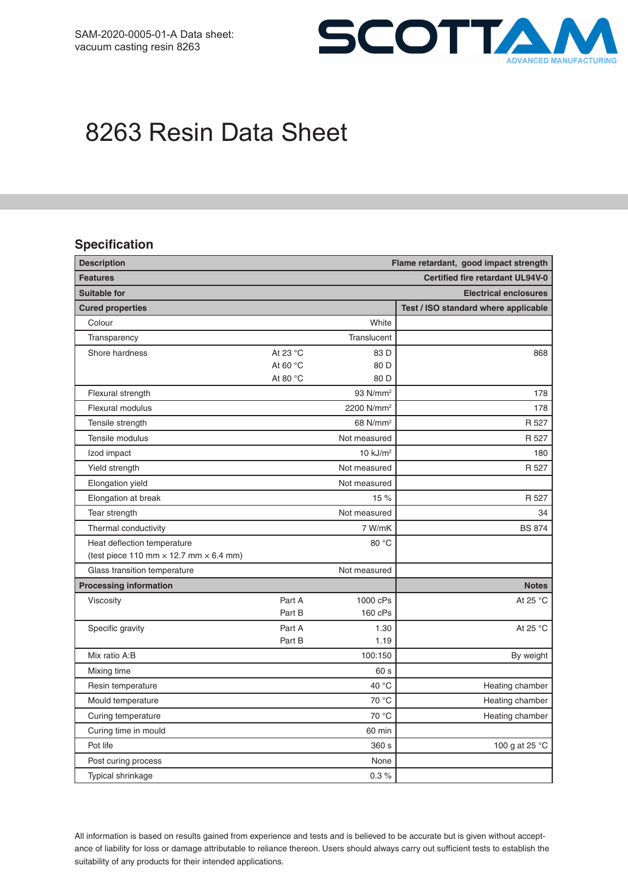

# 8263 Resin Data Sheet

### **Specification**

| <b>Description</b><br>Flame retardant, good impact strength |                   |                        |                                         |
|-------------------------------------------------------------|-------------------|------------------------|-----------------------------------------|
| <b>Features</b>                                             |                   |                        | <b>Certified fire retardant UL94V-0</b> |
| <b>Suitable for</b>                                         |                   |                        | <b>Electrical enclosures</b>            |
| <b>Cured properties</b>                                     |                   |                        | Test / ISO standard where applicable    |
| Colour                                                      |                   | White                  |                                         |
| Transparency                                                |                   | Translucent            |                                         |
| Shore hardness                                              | At 23 °C          | 83 D                   | 868                                     |
|                                                             | At 60 $\degree$ C | 80 D                   |                                         |
|                                                             | At 80 $\degree$ C | 80 D                   |                                         |
| Flexural strength                                           |                   | 93 N/mm <sup>2</sup>   | 178                                     |
| Flexural modulus                                            |                   | 2200 N/mm <sup>2</sup> | 178                                     |
| Tensile strength                                            |                   | 68 N/mm <sup>2</sup>   | R 527                                   |
| Tensile modulus                                             |                   | Not measured           | R 527                                   |
| Izod impact                                                 |                   | 10 $kJ/m2$             | 180                                     |
| Yield strength                                              |                   | Not measured           | R 527                                   |
| Elongation yield                                            |                   | Not measured           |                                         |
| Elongation at break                                         |                   | 15 %                   | R 527                                   |
| Tear strength                                               |                   | Not measured           | 34                                      |
| Thermal conductivity                                        |                   | 7 W/mK                 | <b>BS 874</b>                           |
| Heat deflection temperature                                 |                   | 80 °C                  |                                         |
| (test piece 110 mm $\times$ 12.7 mm $\times$ 6.4 mm)        |                   |                        |                                         |
| Glass transition temperature                                |                   | Not measured           |                                         |
| <b>Processing information</b>                               |                   |                        | <b>Notes</b>                            |
| Viscosity                                                   | Part A            | 1000 cPs               | At 25 °C                                |
|                                                             | Part B            | 160 cPs                |                                         |
| Specific gravity                                            | Part A            | 1.30                   | At 25 °C                                |
|                                                             | Part B            | 1.19                   |                                         |
| Mix ratio A:B                                               |                   | 100:150                | By weight                               |
| Mixing time                                                 |                   | 60 s                   |                                         |
| Resin temperature                                           |                   | 40 °C                  | Heating chamber                         |
| Mould temperature                                           |                   | 70 °C                  | Heating chamber                         |
| Curing temperature                                          |                   | 70 °C                  | Heating chamber                         |
| Curing time in mould                                        |                   | 60 min                 |                                         |
| Pot life                                                    |                   | 360 s                  | 100 g at 25 °C                          |
| Post curing process                                         |                   | None                   |                                         |
| Typical shrinkage                                           |                   | $0.3 \%$               |                                         |

All information is based on results gained from experience and tests and is believed to be accurate but is given without acceptance of liability for loss or damage attributable to reliance thereon. Users should always carry out sufficient tests to establish the suitability of any products for their intended applications.